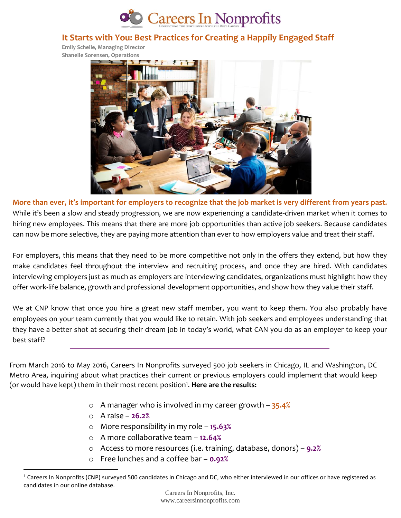

# **It Starts with You: Best Practices for Creating a Happily Engaged Staff**

**Emily Schelle, Managing Director Shanelle Sorensen, Operations**



**More than ever, it's important for employers to recognize that the job market is very different from years past.** While it's been a slow and steady progression, we are now experiencing a candidate-driven market when it comes to hiring new employees. This means that there are more job opportunities than active job seekers. Because candidates can now be more selective, they are paying more attention than ever to how employers value and treat their staff.

For employers, this means that they need to be more competitive not only in the offers they extend, but how they make candidates feel throughout the interview and recruiting process, and once they are hired. With candidates interviewing employers just as much as employers are interviewing candidates, organizations must highlight how they offer work-life balance, growth and professional development opportunities, and show how they value their staff.

We at CNP know that once you hire a great new staff member, you want to keep them. You also probably have employees on your team currently that you would like to retain. With job seekers and employees understanding that they have a better shot at securing their dream job in today's world, what CAN you do as an employer to keep your best staff?

From March 2016 to May 2016, Careers In Nonprofits surveyed 500 job seekers in Chicago, IL and Washington, DC Metro Area, inquiring about what practices their current or previous employers could implement that would keep (or would have kept) them in their most recent position<sup>1</sup>. **Here are the results:** 

- o A manager who is involved in my career growth **35.4%**
- o A raise **26.2%**

 $\overline{a}$ 

- o More responsibility in my role **15.63%**
- o A more collaborative team **12.64%**
- o Access to more resources (i.e. training, database, donors) **9.2%**
- o Free lunches and a coffee bar **0.92%**

<sup>&</sup>lt;sup>1</sup> Careers In Nonprofits (CNP) surveyed 500 candidates in Chicago and DC, who either interviewed in our offices or have registered as candidates in our online database.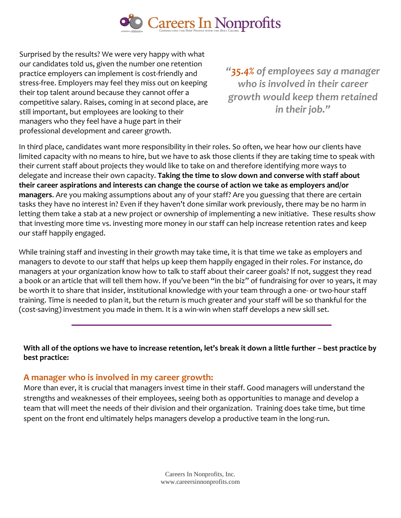

Surprised by the results? We were very happy with what our candidates told us, given the number one retention practice employers can implement is cost-friendly and stress-free. Employers may feel they miss out on keeping their top talent around because they cannot offer a competitive salary. Raises, coming in at second place, are still important, but employees are looking to their managers who they feel have a huge part in their professional development and career growth.

*"35.4% of employees say a manager who is involved in their career growth would keep them retained in their job."*

In third place, candidates want more responsibility in their roles. So often, we hear how our clients have limited capacity with no means to hire, but we have to ask those clients if they are taking time to speak with their current staff about projects they would like to take on and therefore identifying more ways to delegate and increase their own capacity. **Taking the time to slow down and converse with staff about their career aspirations and interests can change the course of action we take as employers and/or managers**. Are you making assumptions about any of your staff? Are you guessing that there are certain tasks they have no interest in? Even if they haven't done similar work previously, there may be no harm in letting them take a stab at a new project or ownership of implementing a new initiative. These results show that investing more time vs. investing more money in our staff can help increase retention rates and keep our staff happily engaged.

While training staff and investing in their growth may take time, it is that time we take as employers and managers to devote to our staff that helps up keep them happily engaged in their roles. For instance, do managers at your organization know how to talk to staff about their career goals? If not, suggest they read a book or an article that will tell them how. If you've been "in the biz" of fundraising for over 10 years, it may be worth it to share that insider, institutional knowledge with your team through a one- or two-hour staff training. Time is needed to plan it, but the return is much greater and your staff will be so thankful for the (cost-saving) investment you made in them. It is a win-win when staff develops a new skill set.

**With all of the options we have to increase retention, let's break it down a little further – best practice by best practice:**

### **A manager who is involved in my career growth:**

More than ever, it is crucial that managers invest time in their staff. Good managers will understand the strengths and weaknesses of their employees, seeing both as opportunities to manage and develop a team that will meet the needs of their division and their organization. Training does take time, but time spent on the front end ultimately helps managers develop a productive team in the long-run.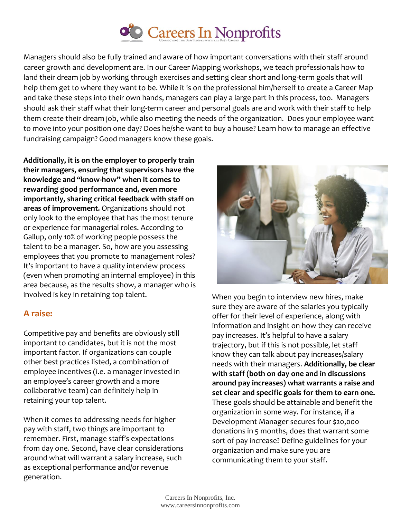

Managers should also be fully trained and aware of how important conversations with their staff around career growth and development are. In our Career Mapping workshops, we teach professionals how to land their dream job by working through exercises and setting clear short and long-term goals that will help them get to where they want to be. While it is on the professional him/herself to create a Career Map and take these steps into their own hands, managers can play a large part in this process, too. Managers should ask their staff what their long-term career and personal goals are and work with their staff to help them create their dream job, while also meeting the needs of the organization. Does your employee want to move into your position one day? Does he/she want to buy a house? Learn how to manage an effective fundraising campaign? Good managers know these goals.

**Additionally, it is on the employer to properly train their managers, ensuring that supervisors have the knowledge and "know-how" when it comes to rewarding good performance and, even more importantly, sharing critical feedback with staff on areas of improvement.** Organizations should not only look to the employee that has the most tenure or experience for managerial roles. According to Gallup, only 10% of working people possess the talent to be a manager. So, how are you assessing employees that you promote to management roles? It's important to have a quality interview process (even when promoting an internal employee) in this area because, as the results show, a manager who is involved is key in retaining top talent.

# **A raise:**

Competitive pay and benefits are obviously still important to candidates, but it is not the most important factor. If organizations can couple other best practices listed, a combination of employee incentives (i.e. a manager invested in an employee's career growth and a more collaborative team) can definitely help in retaining your top talent.

When it comes to addressing needs for higher pay with staff, two things are important to remember. First, manage staff's expectations from day one. Second, have clear considerations around what will warrant a salary increase, such as exceptional performance and/or revenue generation.



When you begin to interview new hires, make sure they are aware of the salaries you typically offer for their level of experience, along with information and insight on how they can receive pay increases. It's helpful to have a salary trajectory, but if this is not possible, let staff know they can talk about pay increases/salary needs with their managers. **Additionally, be clear with staff (both on day one and in discussions around pay increases) what warrants a raise and set clear and specific goals for them to earn one.** These goals should be attainable and benefit the organization in some way. For instance, if a Development Manager secures four \$20,000 donations in 5 months, does that warrant some sort of pay increase? Define guidelines for your organization and make sure you are communicating them to your staff.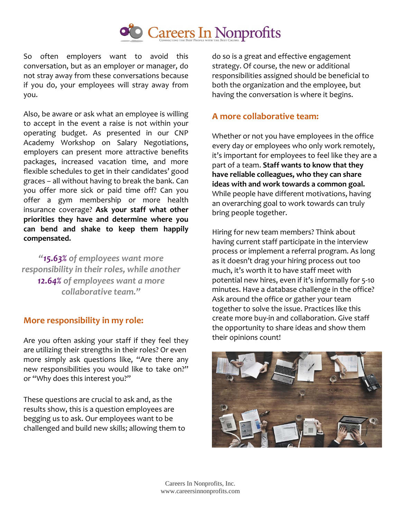

So often employers want to avoid this conversation, but as an employer or manager, do not stray away from these conversations because if you do, your employees will stray away from you.

Also, be aware or ask what an employee is willing to accept in the event a raise is not within your operating budget. As presented in our CNP Academy Workshop on Salary Negotiations, employers can present more attractive benefits packages, increased vacation time, and more flexible schedules to get in their candidates' good graces – all without having to break the bank. Can you offer more sick or paid time off? Can you offer a gym membership or more health insurance coverage? **Ask your staff what other priorities they have and determine where you can bend and shake to keep them happily compensated.**

*"15.63% of employees want more responsibility in their roles, while another 12.64% of employees want a more collaborative team."*

### **More responsibility in my role:**

Are you often asking your staff if they feel they are utilizing their strengths in their roles? Or even more simply ask questions like, "Are there any new responsibilities you would like to take on?" or "Why does this interest you?"

These questions are crucial to ask and, as the results show, this is a question employees are begging us to ask. Our employees want to be challenged and build new skills; allowing them to do so is a great and effective engagement strategy. Of course, the new or additional responsibilities assigned should be beneficial to both the organization and the employee, but having the conversation is where it begins.

## **A more collaborative team:**

Whether or not you have employees in the office every day or employees who only work remotely, it's important for employees to feel like they are a part of a team. **Staff wants to know that they have reliable colleagues, who they can share ideas with and work towards a common goal.** While people have different motivations, having an overarching goal to work towards can truly bring people together.

Hiring for new team members? Think about having current staff participate in the interview process or implement a referral program. As long as it doesn't drag your hiring process out too much, it's worth it to have staff meet with potential new hires, even if it's informally for 5-10 minutes. Have a database challenge in the office? Ask around the office or gather your team together to solve the issue. Practices like this create more buy-in and collaboration. Give staff the opportunity to share ideas and show them their opinions count!

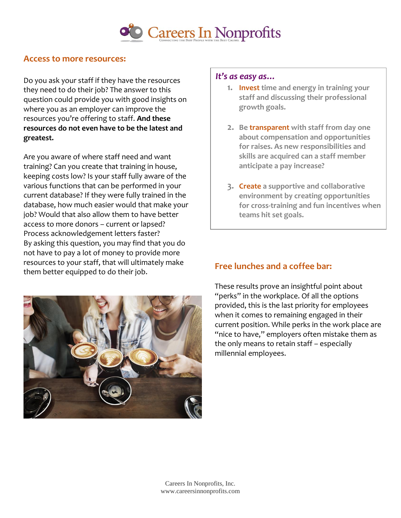

#### **Access to more resources:**

Do you ask your staff if they have the resources they need to do their job? The answer to this question could provide you with good insights on where you as an employer can improve the resources you're offering to staff. **And these resources do not even have to be the latest and greatest.**

Are you aware of where staff need and want training? Can you create that training in house, keeping costs low? Is your staff fully aware of the various functions that can be performed in your current database? If they were fully trained in the database, how much easier would that make your job? Would that also allow them to have better access to more donors – current or lapsed? Process acknowledgement letters faster? By asking this question, you may find that you do not have to pay a lot of money to provide more resources to your staff, that will ultimately make them better equipped to do their job. **Free lunches and a coffee bar:**



#### *It's as easy as…*

- **1. Invest time and energy in training your staff and discussing their professional growth goals.**
- **2. Be transparent with staff from day one about compensation and opportunities for raises. As new responsibilities and skills are acquired can a staff member anticipate a pay increase?**
- **3. Create a supportive and collaborative environment by creating opportunities for cross-training and fun incentives when teams hit set goals.**

These results prove an insightful point about "perks" in the workplace. Of all the options provided, this is the last priority for employees when it comes to remaining engaged in their current position. While perks in the work place are "nice to have," employers often mistake them as the only means to retain staff – especially millennial employees.